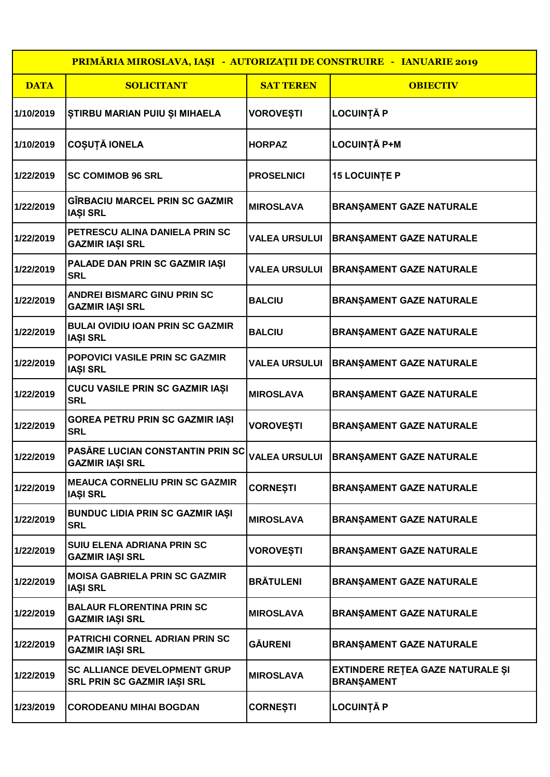| <b>PRIMĂRIA MIROSLAVA, IAȘI - AUTORIZAȚII DE CONSTRUIRE - IANUARIE 2019</b> |                                                                    |                      |                                                       |  |  |
|-----------------------------------------------------------------------------|--------------------------------------------------------------------|----------------------|-------------------------------------------------------|--|--|
| <b>DATA</b>                                                                 | <b>SOLICITANT</b>                                                  | <b>SAT TEREN</b>     | <b>OBIECTIV</b>                                       |  |  |
| 1/10/2019                                                                   | ŞTIRBU MARIAN PUIU ŞI MIHAELA                                      | <b>VOROVEȘTI</b>     | LOCUINȚĂ P                                            |  |  |
| 1/10/2019                                                                   | <b>COȘUȚĂ IONELA</b>                                               | <b>HORPAZ</b>        | LOCUINȚĂ P+M                                          |  |  |
| 1/22/2019                                                                   | <b>SC COMIMOB 96 SRL</b>                                           | <b>PROSELNICI</b>    | <b>15 LOCUINTE P</b>                                  |  |  |
| 1/22/2019                                                                   | GÎRBACIU MARCEL PRIN SC GAZMIR<br><b>IAȘI SRL</b>                  | <b>MIROSLAVA</b>     | <b>BRANȘAMENT GAZE NATURALE</b>                       |  |  |
| 1/22/2019                                                                   | PETRESCU ALINA DANIELA PRIN SC<br><b>GAZMIR IAȘI SRL</b>           | <b>VALEA URSULUI</b> | <b>BRANSAMENT GAZE NATURALE</b>                       |  |  |
| 1/22/2019                                                                   | PALADE DAN PRIN SC GAZMIR IAȘI<br><b>SRL</b>                       | <b>VALEA URSULUI</b> | <b>BRANSAMENT GAZE NATURALE</b>                       |  |  |
| 1/22/2019                                                                   | <b>ANDREI BISMARC GINU PRIN SC</b><br><b>GAZMIR IAȘI SRL</b>       | <b>BALCIU</b>        | <b>BRANȘAMENT GAZE NATURALE</b>                       |  |  |
| 1/22/2019                                                                   | <b>BULAI OVIDIU IOAN PRIN SC GAZMIR</b><br><b>IAȘI SRL</b>         | <b>BALCIU</b>        | <b>BRANŞAMENT GAZE NATURALE</b>                       |  |  |
| 1/22/2019                                                                   | POPOVICI VASILE PRIN SC GAZMIR<br><b>IAȘI SRL</b>                  | <b>VALEA URSULUI</b> | <b>BRANŞAMENT GAZE NATURALE</b>                       |  |  |
| 1/22/2019                                                                   | CUCU VASILE PRIN SC GAZMIR IAȘI<br><b>SRL</b>                      | <b>MIROSLAVA</b>     | <b>BRANŞAMENT GAZE NATURALE</b>                       |  |  |
| 1/22/2019                                                                   | GOREA PETRU PRIN SC GAZMIR IAȘI<br><b>SRL</b>                      | <b>VOROVEȘTI</b>     | <b>BRANŞAMENT GAZE NATURALE</b>                       |  |  |
| 1/22/2019                                                                   | PASĂRE LUCIAN CONSTANTIN PRIN SC<br><b>GAZMIR IAȘI SRL</b>         |                      | VALEA URSULUI   BRANŞAMENT GAZE NATURALE              |  |  |
| 1/22/2019                                                                   | <b>MEAUCA CORNELIU PRIN SC GAZMIR</b><br><b>IAȘI SRL</b>           | <b>CORNEȘTI</b>      | <b>BRANŞAMENT GAZE NATURALE</b>                       |  |  |
| 1/22/2019                                                                   | <b>BUNDUC LIDIA PRIN SC GAZMIR IAȘI</b><br><b>SRL</b>              | <b>MIROSLAVA</b>     | <b>BRANŞAMENT GAZE NATURALE</b>                       |  |  |
| 1/22/2019                                                                   | SUIU ELENA ADRIANA PRIN SC<br><b>GAZMIR IAȘI SRL</b>               | <b>VOROVEȘTI</b>     | <b>BRANŞAMENT GAZE NATURALE</b>                       |  |  |
| 1/22/2019                                                                   | <b>MOISA GABRIELA PRIN SC GAZMIR</b><br><b>IAȘI SRL</b>            | <b>BRÄTULENI</b>     | <b>BRANŞAMENT GAZE NATURALE</b>                       |  |  |
| 1/22/2019                                                                   | <b>BALAUR FLORENTINA PRIN SC</b><br><b>GAZMIR IAȘI SRL</b>         | <b>MIROSLAVA</b>     | <b>BRANŞAMENT GAZE NATURALE</b>                       |  |  |
| 1/22/2019                                                                   | PATRICHI CORNEL ADRIAN PRIN SC<br><b>GAZMIR IAȘI SRL</b>           | <b>GÄURENI</b>       | <b>BRANŞAMENT GAZE NATURALE</b>                       |  |  |
| 1/22/2019                                                                   | <b>SC ALLIANCE DEVELOPMENT GRUP</b><br>SRL PRIN SC GAZMIR IAȘI SRL | <b>MIROSLAVA</b>     | EXTINDERE REȚEA GAZE NATURALE ȘI<br><b>BRANŞAMENT</b> |  |  |
| 1/23/2019                                                                   | <b>CORODEANU MIHAI BOGDAN</b>                                      | CORNEȘTI             | <b>LOCUINȚĂ P</b>                                     |  |  |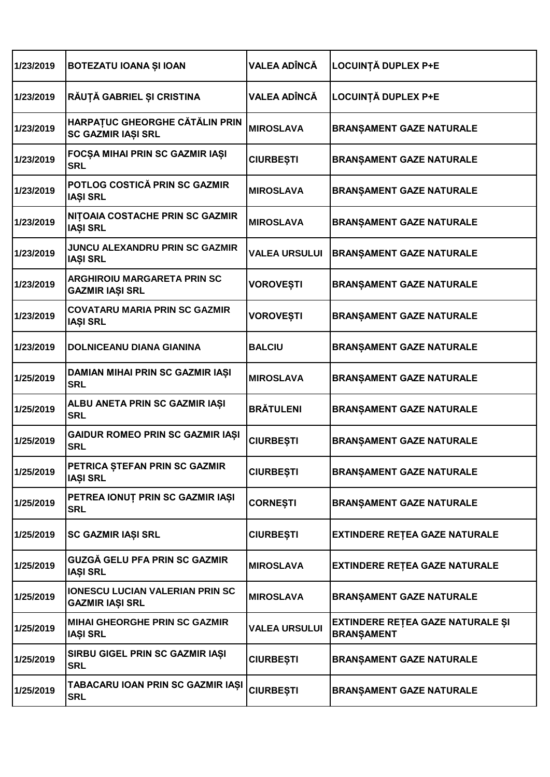| 1/23/2019 | BOTEZATU IOANA ȘI IOAN                                       | VALEA ADÎNCĂ         | <b>LOCUINȚĂ DUPLEX P+E</b>                            |
|-----------|--------------------------------------------------------------|----------------------|-------------------------------------------------------|
| 1/23/2019 | RĂUȚĂ GABRIEL ȘI CRISTINA                                    | VALEA ADÎNCĂ         | <b>LOCUINȚĂ DUPLEX P+E</b>                            |
| 1/23/2019 | HARPAȚUC GHEORGHE CĂTĂLIN PRIN<br><b>SC GAZMIR IAȘI SRL</b>  | <b>MIROSLAVA</b>     | <b>BRANŞAMENT GAZE NATURALE</b>                       |
| 1/23/2019 | FOCȘA MIHAI PRIN SC GAZMIR IAȘI<br><b>SRL</b>                | <b>CIURBEȘTI</b>     | <b>BRANŞAMENT GAZE NATURALE</b>                       |
| 1/23/2019 | POTLOG COSTICĂ PRIN SC GAZMIR<br><b>IAȘI SRL</b>             | <b>MIROSLAVA</b>     | <b>BRANŞAMENT GAZE NATURALE</b>                       |
| 1/23/2019 | NITOAIA COSTACHE PRIN SC GAZMIR<br><b>IAȘI SRL</b>           | <b>MIROSLAVA</b>     | <b>BRANŞAMENT GAZE NATURALE</b>                       |
| 1/23/2019 | JUNCU ALEXANDRU PRIN SC GAZMIR<br><b>IAȘI SRL</b>            | <b>VALEA URSULUI</b> | <b>BRANŞAMENT GAZE NATURALE</b>                       |
| 1/23/2019 | <b>ARGHIROIU MARGARETA PRIN SC</b><br><b>GAZMIR IAȘI SRL</b> | <b>VOROVEȘTI</b>     | <b>BRANŞAMENT GAZE NATURALE</b>                       |
| 1/23/2019 | <b>COVATARU MARIA PRIN SC GAZMIR</b><br><b>IAȘI SRL</b>      | <b>VOROVEȘTI</b>     | <b>BRANȘAMENT GAZE NATURALE</b>                       |
| 1/23/2019 | <b>DOLNICEANU DIANA GIANINA</b>                              | <b>BALCIU</b>        | <b>BRANŞAMENT GAZE NATURALE</b>                       |
| 1/25/2019 | DAMIAN MIHAI PRIN SC GAZMIR IAȘI<br><b>SRL</b>               | <b>MIROSLAVA</b>     | <b>BRANŞAMENT GAZE NATURALE</b>                       |
| 1/25/2019 | ALBU ANETA PRIN SC GAZMIR IAȘI<br><b>SRL</b>                 | <b>BRĂTULENI</b>     | BRANŞAMENT GAZE NATURALE                              |
| 1/25/2019 | GAIDUR ROMEO PRIN SC GAZMIR IAȘI<br><b>SRL</b>               | <b>CIURBEȘTI</b>     | <b>BRANŞAMENT GAZE NATURALE</b>                       |
| 1/25/2019 | PETRICA ȘTEFAN PRIN SC GAZMIR<br><b>IAȘI SRL</b>             | <b>CIURBEȘTI</b>     | <b>BRANȘAMENT GAZE NATURALE</b>                       |
| 1/25/2019 | PETREA IONUT PRIN SC GAZMIR IAȘI<br><b>SRL</b>               | <b>CORNEȘTI</b>      | BRANŞAMENT GAZE NATURALE                              |
| 1/25/2019 | <b>SC GAZMIR IAȘI SRL</b>                                    | <b>CIURBEȘTI</b>     | <b>EXTINDERE RETEA GAZE NATURALE</b>                  |
| 1/25/2019 | GUZGĂ GELU PFA PRIN SC GAZMIR<br><b>IAȘI SRL</b>             | <b>MIROSLAVA</b>     | <b>EXTINDERE RETEA GAZE NATURALE</b>                  |
| 1/25/2019 | <b>IONESCU LUCIAN VALERIAN PRIN SC</b><br>GAZMIR IAȘI SRL    | <b>MIROSLAVA</b>     | <b>BRANSAMENT GAZE NATURALE</b>                       |
| 1/25/2019 | <b>MIHAI GHEORGHE PRIN SC GAZMIR</b><br><b>IAȘI SRL</b>      | <b>VALEA URSULUI</b> | EXTINDERE REȚEA GAZE NATURALE ȘI<br><b>BRANŞAMENT</b> |
| 1/25/2019 | SIRBU GIGEL PRIN SC GAZMIR IAȘI<br><b>SRL</b>                | <b>CIURBEȘTI</b>     | <b>BRANŞAMENT GAZE NATURALE</b>                       |
| 1/25/2019 | TABACARU IOAN PRIN SC GAZMIR IAȘI<br><b>SRL</b>              | <b>CIURBEȘTI</b>     | BRANŞAMENT GAZE NATURALE                              |